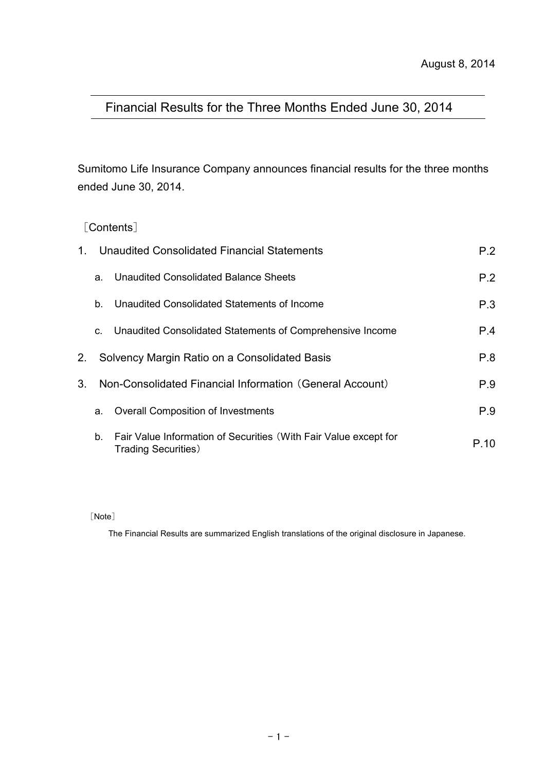# Financial Results for the Three Months Ended June 30, 2014

Sumitomo Life Insurance Company announces financial results for the three months ended June 30, 2014.

## [Contents]

| $1_{-}$        |    | Unaudited Consolidated Financial Statements                                                     | P.2  |
|----------------|----|-------------------------------------------------------------------------------------------------|------|
|                | a. | Unaudited Consolidated Balance Sheets                                                           | P.2  |
|                | b. | Unaudited Consolidated Statements of Income                                                     | P.3  |
|                | C. | Unaudited Consolidated Statements of Comprehensive Income                                       | P.4  |
| 2.             |    | Solvency Margin Ratio on a Consolidated Basis                                                   | P.8  |
| 3 <sub>1</sub> |    | Non-Consolidated Financial Information (General Account)                                        | P.9  |
|                | a. | <b>Overall Composition of Investments</b>                                                       | P.9  |
|                | b. | Fair Value Information of Securities (With Fair Value except for<br><b>Trading Securities</b> ) | P 10 |

#### [Note]

The Financial Results are summarized English translations of the original disclosure in Japanese.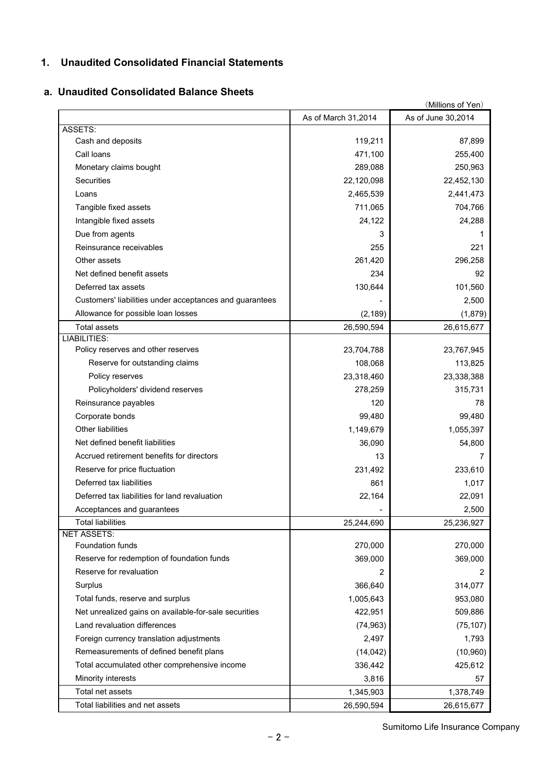## **1. Unaudited Consolidated Financial Statements**

## **a. Unaudited Consolidated Balance Sheets**

|                                                         |                     | (Millions of Yen)  |
|---------------------------------------------------------|---------------------|--------------------|
|                                                         | As of March 31,2014 | As of June 30,2014 |
| ASSETS:                                                 |                     |                    |
| Cash and deposits                                       | 119,211             | 87,899             |
| Call loans                                              | 471,100             | 255,400            |
| Monetary claims bought                                  | 289,088             | 250,963            |
| Securities                                              | 22,120,098          | 22,452,130         |
| Loans                                                   | 2,465,539           | 2,441,473          |
| Tangible fixed assets                                   | 711,065             | 704,766            |
| Intangible fixed assets                                 | 24,122              | 24,288             |
| Due from agents                                         | 3                   |                    |
| Reinsurance receivables                                 | 255                 | 221                |
| Other assets                                            | 261,420             | 296,258            |
| Net defined benefit assets                              | 234                 | 92                 |
| Deferred tax assets                                     | 130,644             | 101,560            |
| Customers' liabilities under acceptances and guarantees |                     | 2,500              |
| Allowance for possible loan losses                      | (2, 189)            | (1,879)            |
| <b>Total assets</b>                                     | 26,590,594          | 26,615,677         |
| <b>LIABILITIES:</b>                                     |                     |                    |
| Policy reserves and other reserves                      | 23,704,788          | 23,767,945         |
| Reserve for outstanding claims                          | 108,068             | 113,825            |
| Policy reserves                                         | 23,318,460          | 23,338,388         |
| Policyholders' dividend reserves                        | 278,259             | 315,731            |
| Reinsurance payables                                    | 120                 | 78                 |
| Corporate bonds                                         | 99,480              | 99,480             |
| Other liabilities                                       | 1,149,679           | 1,055,397          |
| Net defined benefit liabilities                         | 36,090              | 54,800             |
| Accrued retirement benefits for directors               | 13                  | 7                  |
| Reserve for price fluctuation                           | 231,492             | 233,610            |
| Deferred tax liabilities                                | 861                 | 1,017              |
| Deferred tax liabilities for land revaluation           | 22,164              | 22,091             |
| Acceptances and guarantees                              |                     | 2,500              |
| <b>Total liabilities</b>                                | 25,244,690          | 25,236,927         |
| <b>NET ASSETS:</b>                                      |                     |                    |
| Foundation funds                                        | 270,000             | 270,000            |
| Reserve for redemption of foundation funds              | 369,000             | 369,000            |
| Reserve for revaluation                                 | 2                   | 2                  |
| Surplus                                                 | 366,640             | 314,077            |
| Total funds, reserve and surplus                        | 1,005,643           | 953,080            |
| Net unrealized gains on available-for-sale securities   | 422,951             | 509,886            |
| Land revaluation differences                            | (74, 963)           | (75, 107)          |
| Foreign currency translation adjustments                | 2,497               | 1,793              |
| Remeasurements of defined benefit plans                 | (14, 042)           | (10, 960)          |
| Total accumulated other comprehensive income            | 336,442             | 425,612            |
| Minority interests                                      | 3,816               | 57                 |
| Total net assets                                        | 1,345,903           | 1,378,749          |
| Total liabilities and net assets                        | 26,590,594          | 26,615,677         |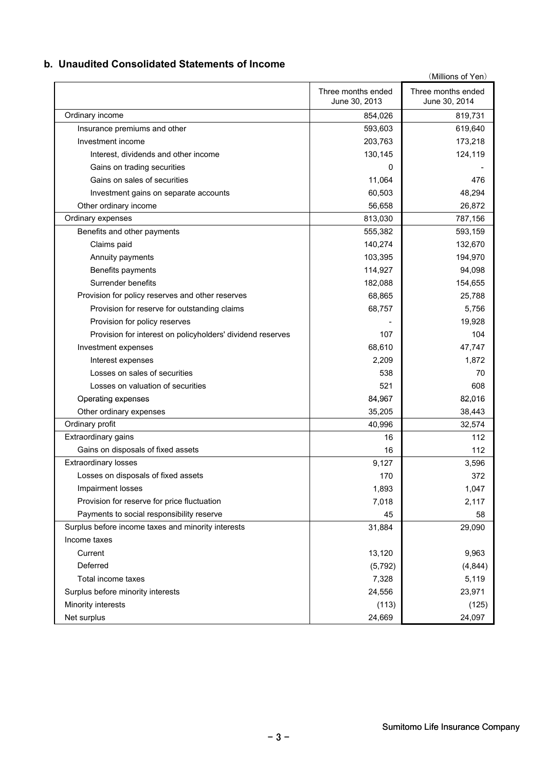#### **b. Unaudited Consolidated Statements of Income**

|                                                            |                                     | (Millions of Yen)                   |
|------------------------------------------------------------|-------------------------------------|-------------------------------------|
|                                                            | Three months ended<br>June 30, 2013 | Three months ended<br>June 30, 2014 |
| Ordinary income                                            | 854,026                             | 819,731                             |
| Insurance premiums and other                               | 593,603                             | 619,640                             |
| Investment income                                          | 203,763                             | 173,218                             |
| Interest, dividends and other income                       | 130,145                             | 124,119                             |
| Gains on trading securities                                | 0                                   |                                     |
| Gains on sales of securities                               | 11,064                              | 476                                 |
| Investment gains on separate accounts                      | 60,503                              | 48,294                              |
| Other ordinary income                                      | 56,658                              | 26,872                              |
| Ordinary expenses                                          | 813,030                             | 787,156                             |
| Benefits and other payments                                | 555,382                             | 593,159                             |
| Claims paid                                                | 140,274                             | 132,670                             |
| Annuity payments                                           | 103,395                             | 194,970                             |
| Benefits payments                                          | 114,927                             | 94,098                              |
| Surrender benefits                                         | 182,088                             | 154,655                             |
| Provision for policy reserves and other reserves           | 68,865                              | 25,788                              |
| Provision for reserve for outstanding claims               | 68,757                              | 5,756                               |
| Provision for policy reserves                              |                                     | 19,928                              |
| Provision for interest on policyholders' dividend reserves | 107                                 | 104                                 |
| Investment expenses                                        | 68,610                              | 47,747                              |
| Interest expenses                                          | 2,209                               | 1,872                               |
| Losses on sales of securities                              | 538                                 | 70                                  |
| Losses on valuation of securities                          | 521                                 | 608                                 |
| Operating expenses                                         | 84,967                              | 82,016                              |
| Other ordinary expenses                                    | 35,205                              | 38,443                              |
| Ordinary profit                                            | 40,996                              | 32,574                              |
| Extraordinary gains                                        | 16                                  | 112                                 |
| Gains on disposals of fixed assets                         | 16                                  | 112                                 |
| <b>Extraordinary losses</b>                                | 9,127                               | 3,596                               |
| Losses on disposals of fixed assets                        | 170                                 | 372                                 |
| Impairment losses                                          | 1,893                               | 1,047                               |
| Provision for reserve for price fluctuation                | 7,018                               | 2,117                               |
| Payments to social responsibility reserve                  | 45                                  | 58                                  |
| Surplus before income taxes and minority interests         | 31,884                              | 29,090                              |
| Income taxes                                               |                                     |                                     |
| Current                                                    | 13,120                              | 9,963                               |
| Deferred                                                   | (5,792)                             | (4,844)                             |
| Total income taxes                                         | 7,328                               | 5,119                               |
| Surplus before minority interests                          | 24,556                              | 23,971                              |
| Minority interests                                         | (113)                               | (125)                               |
| Net surplus                                                | 24,669                              | 24,097                              |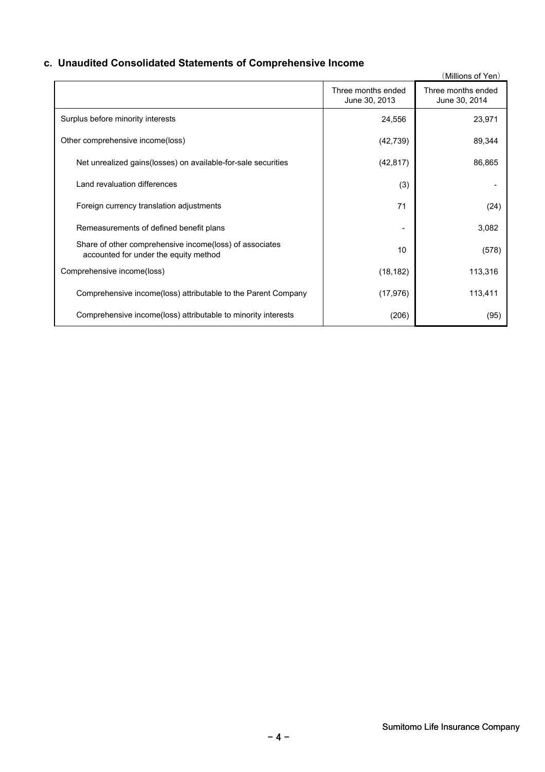## **c. Unaudited Consolidated Statements of Comprehensive Income**

|                                                                                                  |                                     | (Millions of Yen)                   |
|--------------------------------------------------------------------------------------------------|-------------------------------------|-------------------------------------|
|                                                                                                  | Three months ended<br>June 30, 2013 | Three months ended<br>June 30, 2014 |
| Surplus before minority interests                                                                | 24,556                              | 23,971                              |
| Other comprehensive income(loss)                                                                 | (42, 739)                           | 89,344                              |
| Net unrealized gains (losses) on available-for-sale securities                                   | (42, 817)                           | 86,865                              |
| Land revaluation differences                                                                     | (3)                                 |                                     |
| Foreign currency translation adjustments                                                         | 71                                  | (24)                                |
| Remeasurements of defined benefit plans                                                          |                                     | 3,082                               |
| Share of other comprehensive income(loss) of associates<br>accounted for under the equity method | 10                                  | (578)                               |
| Comprehensive income(loss)                                                                       | (18, 182)                           | 113,316                             |
| Comprehensive income(loss) attributable to the Parent Company                                    | (17, 976)                           | 113,411                             |
| Comprehensive income (loss) attributable to minority interests                                   | (206)                               | (95)                                |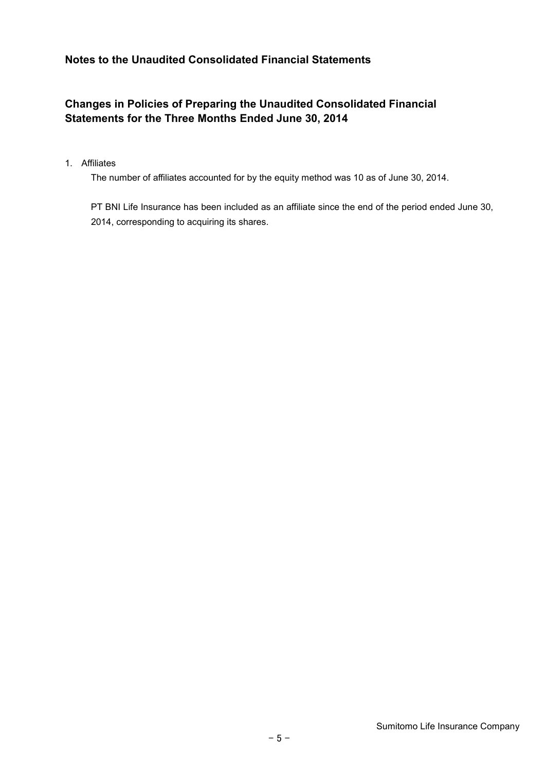## **Notes to the Unaudited Consolidated Financial Statements**

## **Changes in Policies of Preparing the Unaudited Consolidated Financial Statements for the Three Months Ended June 30, 2014**

#### 1. Affiliates

The number of affiliates accounted for by the equity method was 10 as of June 30, 2014.

PT BNI Life Insurance has been included as an affiliate since the end of the period ended June 30, 2014, corresponding to acquiring its shares.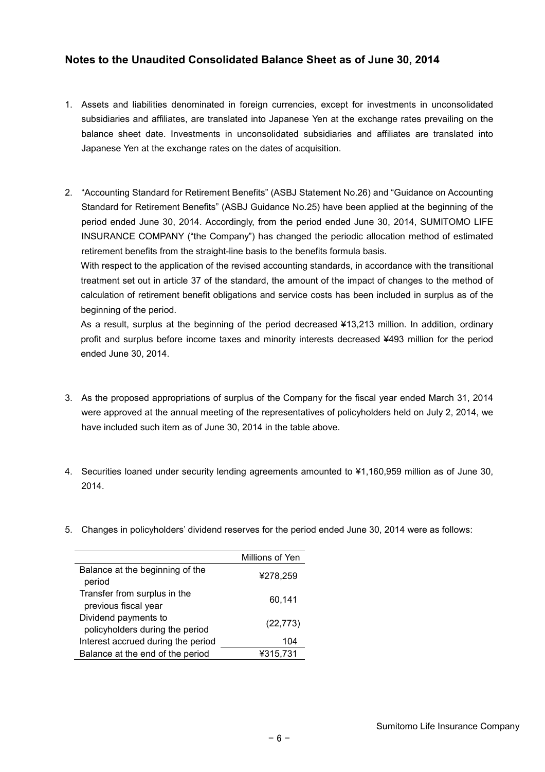#### **Notes to the Unaudited Consolidated Balance Sheet as of June 30, 2014**

- 1. Assets and liabilities denominated in foreign currencies, except for investments in unconsolidated subsidiaries and affiliates, are translated into Japanese Yen at the exchange rates prevailing on the balance sheet date. Investments in unconsolidated subsidiaries and affiliates are translated into Japanese Yen at the exchange rates on the dates of acquisition.
- 2. "Accounting Standard for Retirement Benefits" (ASBJ Statement No.26) and "Guidance on Accounting Standard for Retirement Benefits" (ASBJ Guidance No.25) have been applied at the beginning of the period ended June 30, 2014. Accordingly, from the period ended June 30, 2014, SUMITOMO LIFE INSURANCE COMPANY ("the Company") has changed the periodic allocation method of estimated retirement benefits from the straight-line basis to the benefits formula basis.

With respect to the application of the revised accounting standards, in accordance with the transitional treatment set out in article 37 of the standard, the amount of the impact of changes to the method of calculation of retirement benefit obligations and service costs has been included in surplus as of the beginning of the period.

As a result, surplus at the beginning of the period decreased ¥13,213 million. In addition, ordinary profit and surplus before income taxes and minority interests decreased ¥493 million for the period ended June 30, 2014.

- 3. As the proposed appropriations of surplus of the Company for the fiscal year ended March 31, 2014 were approved at the annual meeting of the representatives of policyholders held on July 2, 2014, we have included such item as of June 30, 2014 in the table above.
- 4. Securities loaned under security lending agreements amounted to ¥1,160,959 million as of June 30, 2014.
- 5. Changes in policyholders' dividend reserves for the period ended June 30, 2014 were as follows:

|                                                         | Millions of Yen |
|---------------------------------------------------------|-----------------|
| Balance at the beginning of the<br>period               | ¥278,259        |
| Transfer from surplus in the<br>previous fiscal year    | 60,141          |
| Dividend payments to<br>policyholders during the period | (22, 773)       |
| Interest accrued during the period                      | 104             |
| Balance at the end of the period                        | ¥315.731        |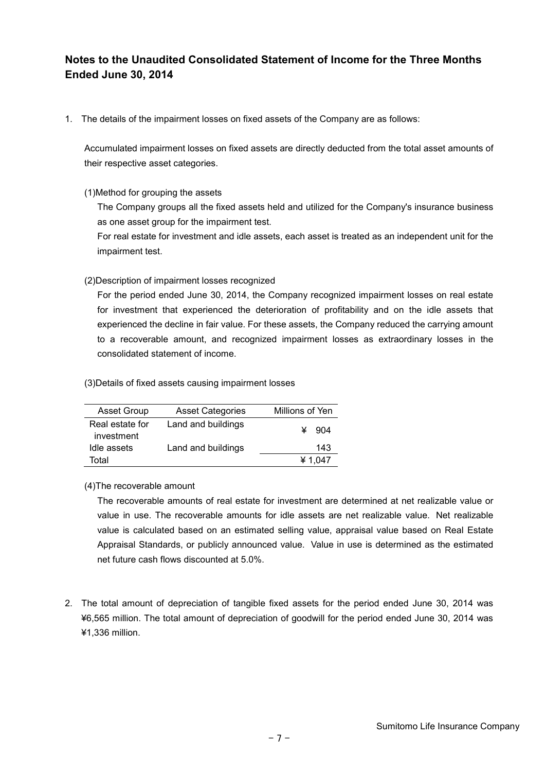## **Notes to the Unaudited Consolidated Statement of Income for the Three Months Ended June 30, 2014**

1. The details of the impairment losses on fixed assets of the Company are as follows:

Accumulated impairment losses on fixed assets are directly deducted from the total asset amounts of their respective asset categories.

#### (1)Method for grouping the assets

The Company groups all the fixed assets held and utilized for the Company's insurance business as one asset group for the impairment test.

For real estate for investment and idle assets, each asset is treated as an independent unit for the impairment test.

#### (2)Description of impairment losses recognized

For the period ended June 30, 2014, the Company recognized impairment losses on real estate for investment that experienced the deterioration of profitability and on the idle assets that experienced the decline in fair value. For these assets, the Company reduced the carrying amount to a recoverable amount, and recognized impairment losses as extraordinary losses in the consolidated statement of income.

(3)Details of fixed assets causing impairment losses

| <b>Asset Group</b>            | <b>Asset Categories</b> | Millions of Yen |  |  |
|-------------------------------|-------------------------|-----------------|--|--|
| Real estate for<br>investment | Land and buildings      | 904             |  |  |
| Idle assets                   | Land and buildings      | 143             |  |  |
| Total                         |                         | ¥ 1.047         |  |  |

(4)The recoverable amount

The recoverable amounts of real estate for investment are determined at net realizable value or value in use. The recoverable amounts for idle assets are net realizable value. Net realizable value is calculated based on an estimated selling value, appraisal value based on Real Estate Appraisal Standards, or publicly announced value. Value in use is determined as the estimated net future cash flows discounted at 5.0%.

2. The total amount of depreciation of tangible fixed assets for the period ended June 30, 2014 was ¥6,565 million. The total amount of depreciation of goodwill for the period ended June 30, 2014 was ¥1,336 million.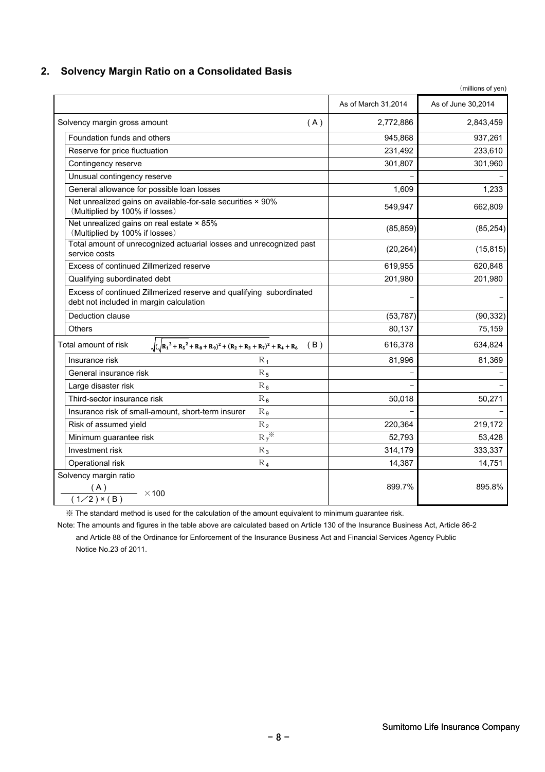#### **2. Solvency Margin Ratio on a Consolidated Basis**

|                                                                                                                | As of March 31,2014 | As of June 30,2014 |
|----------------------------------------------------------------------------------------------------------------|---------------------|--------------------|
| Solvency margin gross amount<br>(A)                                                                            | 2,772,886           | 2,843,459          |
| Foundation funds and others                                                                                    | 945,868             | 937,261            |
| Reserve for price fluctuation                                                                                  | 231,492             | 233,610            |
| Contingency reserve                                                                                            | 301,807             | 301,960            |
| Unusual contingency reserve                                                                                    |                     |                    |
| General allowance for possible loan losses                                                                     | 1,609               | 1,233              |
| Net unrealized gains on available-for-sale securities × 90%<br>(Multiplied by 100% if losses)                  | 549,947             | 662,809            |
| Net unrealized gains on real estate × 85%<br>(Multiplied by 100% if losses)                                    | (85, 859)           | (85, 254)          |
| Total amount of unrecognized actuarial losses and unrecognized past<br>service costs                           | (20, 264)           | (15, 815)          |
| Excess of continued Zillmerized reserve                                                                        | 619,955             | 620,848            |
| Qualifying subordinated debt                                                                                   | 201,980             | 201,980            |
| Excess of continued Zillmerized reserve and qualifying subordinated<br>debt not included in margin calculation |                     |                    |
| Deduction clause                                                                                               | (53, 787)           | (90, 332)          |
| Others                                                                                                         | 80,137              | 75,159             |
| $\sqrt{(\sqrt{R_1^2 + R_5^2} + R_8 + R_9)^2 + (R_2 + R_3 + R_7)^2 + R_4 + R_6}$ (B)<br>Total amount of risk    | 616,378             | 634,824            |
| Insurance risk<br>$R_1$                                                                                        | 81,996              | 81,369             |
| General insurance risk<br>$R_5$                                                                                |                     |                    |
| Large disaster risk<br>$R_6$                                                                                   |                     |                    |
| Third-sector insurance risk<br>$R_8$                                                                           | 50,018              | 50,271             |
| Insurance risk of small-amount, short-term insurer<br>$R_{9}$                                                  |                     |                    |
| Risk of assumed yield<br>$R_2$                                                                                 | 220,364             | 219,172            |
| $R_7$ <sup>*</sup><br>Minimum guarantee risk                                                                   | 52,793              | 53,428             |
| Investment risk<br>$R_3$                                                                                       | 314,179             | 333,337            |
| Operational risk<br>$R_4$                                                                                      | 14,387              | 14,751             |
| Solvency margin ratio<br>$\frac{(A)}{(1/2) \times (B)}$ × 100                                                  | 899.7%              | 895.8%             |

※ The standard method is used for the calculation of the amount equivalent to minimum guarantee risk.

 Note: The amounts and figures in the table above are calculated based on Article 130 of the Insurance Business Act, Article 86-2 and Article 88 of the Ordinance for Enforcement of the Insurance Business Act and Financial Services Agency Public Notice No.23 of 2011.

(millions of yen)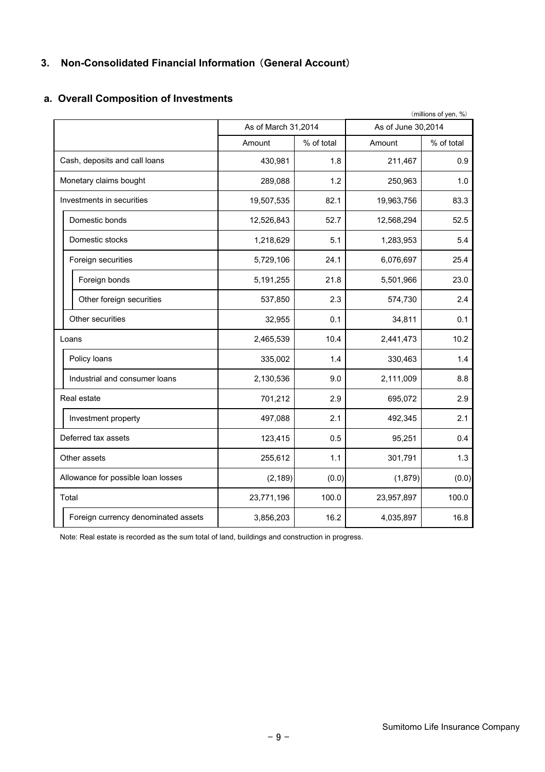## **3. Non-Consolidated Financial Information** (**General Account**)

## **a. Overall Composition of Investments**

|                                    |                                     |                     |            |                    | (millions of yen, %) |
|------------------------------------|-------------------------------------|---------------------|------------|--------------------|----------------------|
|                                    |                                     | As of March 31,2014 |            | As of June 30,2014 |                      |
|                                    |                                     | Amount              | % of total | Amount             | % of total           |
|                                    | Cash, deposits and call loans       | 430,981             | 1.8        | 211,467            | 0.9                  |
|                                    | Monetary claims bought              | 289,088             | 1.2        | 250,963            | 1.0                  |
|                                    | Investments in securities           | 19,507,535          | 82.1       | 19,963,756         | 83.3                 |
|                                    | Domestic bonds                      | 12,526,843          | 52.7       | 12,568,294         | 52.5                 |
|                                    | Domestic stocks                     | 1,218,629           | 5.1        | 1,283,953          | 5.4                  |
|                                    | Foreign securities                  | 5,729,106           | 24.1       | 6,076,697          | 25.4                 |
|                                    | Foreign bonds                       | 5,191,255           | 21.8       | 5,501,966          | 23.0                 |
|                                    | Other foreign securities            | 537,850             | 2.3        | 574,730            | 2.4                  |
|                                    | Other securities                    | 32,955              | 0.1        | 34,811             | 0.1                  |
|                                    | Loans                               | 2,465,539           | 10.4       | 2,441,473          | 10.2                 |
|                                    | Policy loans                        | 335,002             | 1.4        | 330,463            | 1.4                  |
|                                    | Industrial and consumer loans       | 2,130,536           | 9.0        | 2,111,009          | 8.8                  |
|                                    | Real estate                         | 701,212             | 2.9        | 695,072            | 2.9                  |
|                                    | Investment property                 | 497,088             | 2.1        | 492,345            | 2.1                  |
|                                    | Deferred tax assets                 | 123,415             | 0.5        | 95,251             | 0.4                  |
| Other assets                       |                                     | 255,612             | 1.1        | 301,791            | 1.3                  |
| Allowance for possible loan losses |                                     | (2, 189)            | (0.0)      | (1,879)            | (0.0)                |
|                                    | Total                               | 23,771,196          | 100.0      | 23,957,897         | 100.0                |
|                                    | Foreign currency denominated assets | 3,856,203           | 16.2       | 4,035,897          | 16.8                 |

Note: Real estate is recorded as the sum total of land, buildings and construction in progress.